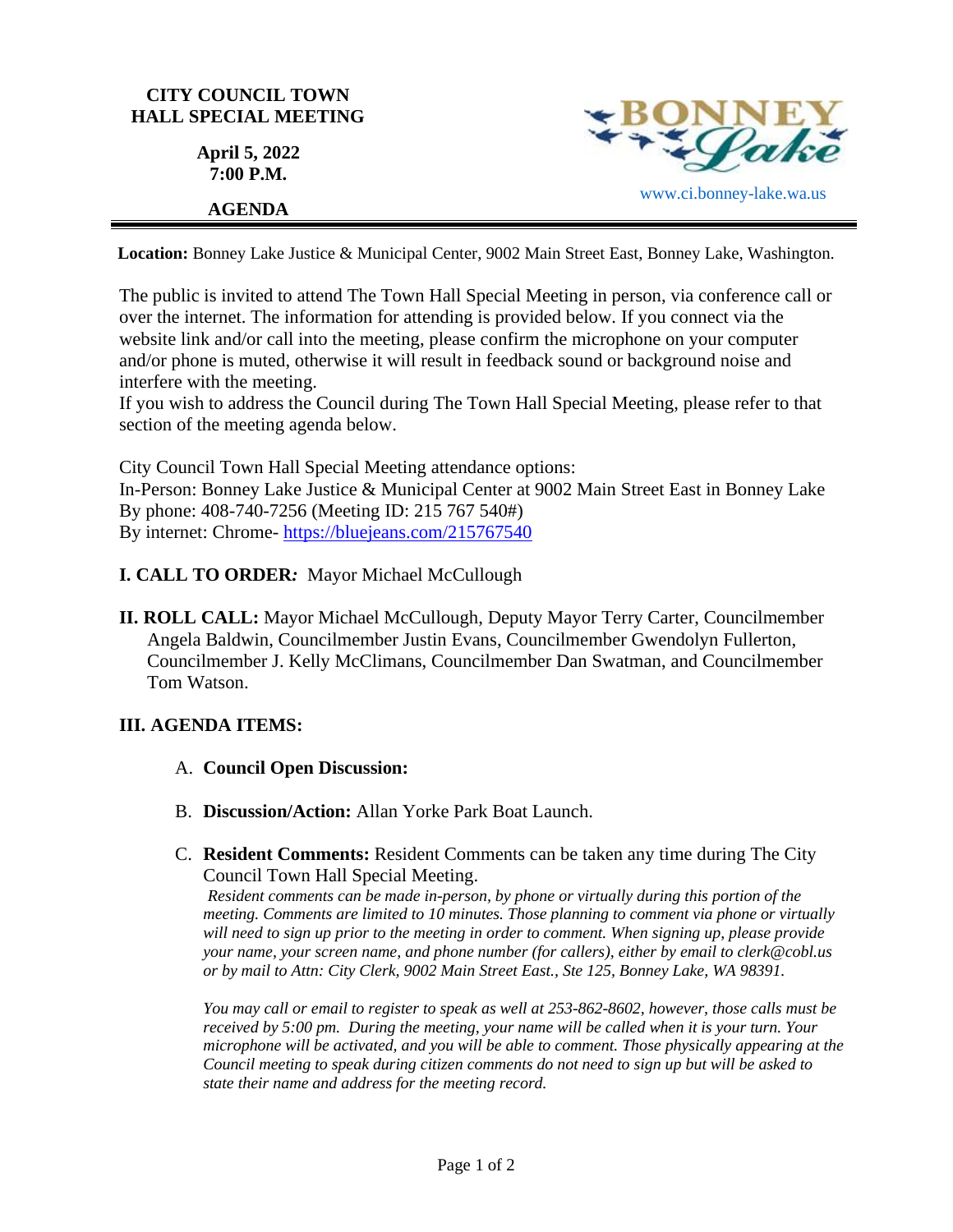

**Location:** Bonney Lake Justice & Municipal Center, 9002 Main Street East, Bonney Lake, Washington.

The public is invited to attend The Town Hall Special Meeting in person, via conference call or over the internet. The information for attending is provided below. If you connect via the website link and/or call into the meeting, please confirm the microphone on your computer and/or phone is muted, otherwise it will result in feedback sound or background noise and interfere with the meeting.

If you wish to address the Council during The Town Hall Special Meeting, please refer to that section of the meeting agenda below.

City Council Town Hall Special Meeting attendance options: In-Person: Bonney Lake Justice & Municipal Center at 9002 Main Street East in Bonney Lake By phone: 408-740-7256 (Meeting ID: 215 767 540#) By internet: Chrome- [https://bluejeans.com/215767540](https://bluejeans.com/215767540?src=calendarLink&flow=joinmeeting)

## **I. CALL TO ORDER***:* Mayor Michael McCullough

**II. ROLL CALL:** Mayor Michael McCullough, Deputy Mayor Terry Carter, Councilmember Angela Baldwin, Councilmember Justin Evans, Councilmember Gwendolyn Fullerton, Councilmember J. Kelly McClimans, Councilmember Dan Swatman, and Councilmember Tom Watson.

## **III. AGENDA ITEMS:**

- A. **Council Open Discussion:**
- B. **Discussion/Action:** Allan Yorke Park Boat Launch.
- C. **Resident Comments:** Resident Comments can be taken any time during The City Council Town Hall Special Meeting.

*Resident comments can be made in-person, by phone or virtually during this portion of the meeting. Comments are limited to 10 minutes. Those planning to comment via phone or virtually will need to sign up prior to the meeting in order to comment. When signing up, please provide your name, your screen name, and phone number (for callers), either by email to clerk@cobl.us or by mail to Attn: City Clerk, 9002 Main Street East., Ste 125, Bonney Lake, WA 98391.*

*You may call or email to register to speak as well at 253-862-8602, however, those calls must be received by 5:00 pm. During the meeting, your name will be called when it is your turn. Your microphone will be activated, and you will be able to comment. Those physically appearing at the Council meeting to speak during citizen comments do not need to sign up but will be asked to state their name and address for the meeting record.*